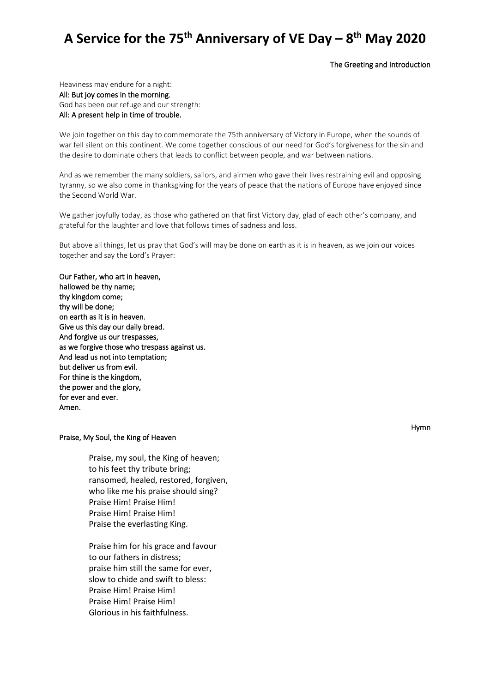The Greeting and Introduction

Heaviness may endure for a night: All: But joy comes in the morning. God has been our refuge and our strength: All: A present help in time of trouble.

We join together on this day to commemorate the 75th anniversary of Victory in Europe, when the sounds of war fell silent on this continent. We come together conscious of our need for God's forgiveness for the sin and the desire to dominate others that leads to conflict between people, and war between nations.

And as we remember the many soldiers, sailors, and airmen who gave their lives restraining evil and opposing tyranny, so we also come in thanksgiving for the years of peace that the nations of Europe have enjoyed since the Second World War.

We gather joyfully today, as those who gathered on that first Victory day, glad of each other's company, and grateful for the laughter and love that follows times of sadness and loss.

But above all things, let us pray that God's will may be done on earth as it is in heaven, as we join our voices together and say the Lord's Prayer:

Our Father, who art in heaven, hallowed be thy name; thy kingdom come; thy will be done; on earth as it is in heaven. Give us this day our daily bread. And forgive us our trespasses, as we forgive those who trespass against us. And lead us not into temptation; but deliver us from evil. For thine is the kingdom, the power and the glory, for ever and ever. Amen.

### Praise, My Soul, the King of Heaven

Praise, my soul, the King of heaven; to his feet thy tribute bring; ransomed, healed, restored, forgiven, who like me his praise should sing? Praise Him! Praise Him! Praise Him! Praise Him! Praise the everlasting King.

Praise him for his grace and favour to our fathers in distress; praise him still the same for ever, slow to chide and swift to bless: Praise Him! Praise Him! Praise Him! Praise Him! Glorious in his faithfulness.

Hymn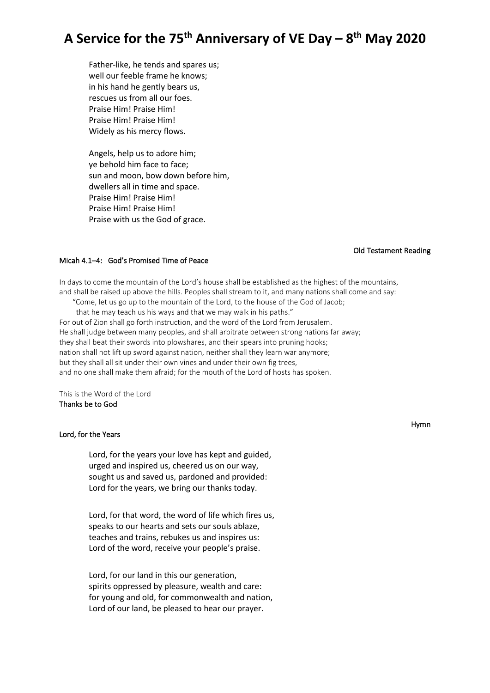Father-like, he tends and spares us; well our feeble frame he knows; in his hand he gently bears us, rescues us from all our foes. Praise Him! Praise Him! Praise Him! Praise Him! Widely as his mercy flows.

Angels, help us to adore him; ye behold him face to face; sun and moon, bow down before him, dwellers all in time and space. Praise Him! Praise Him! Praise Him! Praise Him! Praise with us the God of grace.

### Old Testament Reading

### Micah 4.1–4: God's Promised Time of Peace

In days to come the mountain of the Lord's house shall be established as the highest of the mountains, and shall be raised up above the hills. Peoples shall stream to it, and many nations shall come and say:

"Come, let us go up to the mountain of the Lord, to the house of the God of Jacob;

 that he may teach us his ways and that we may walk in his paths." For out of Zion shall go forth instruction, and the word of the Lord from Jerusalem. He shall judge between many peoples, and shall arbitrate between strong nations far away; they shall beat their swords into plowshares, and their spears into pruning hooks; nation shall not lift up sword against nation, neither shall they learn war anymore; but they shall all sit under their own vines and under their own fig trees, and no one shall make them afraid; for the mouth of the Lord of hosts has spoken.

This is the Word of the Lord Thanks be to God

### Lord, for the Years

Lord, for the years your love has kept and guided, urged and inspired us, cheered us on our way, sought us and saved us, pardoned and provided: Lord for the years, we bring our thanks today.

Lord, for that word, the word of life which fires us, speaks to our hearts and sets our souls ablaze, teaches and trains, rebukes us and inspires us: Lord of the word, receive your people's praise.

Lord, for our land in this our generation, spirits oppressed by pleasure, wealth and care: for young and old, for commonwealth and nation, Lord of our land, be pleased to hear our prayer.

Hymn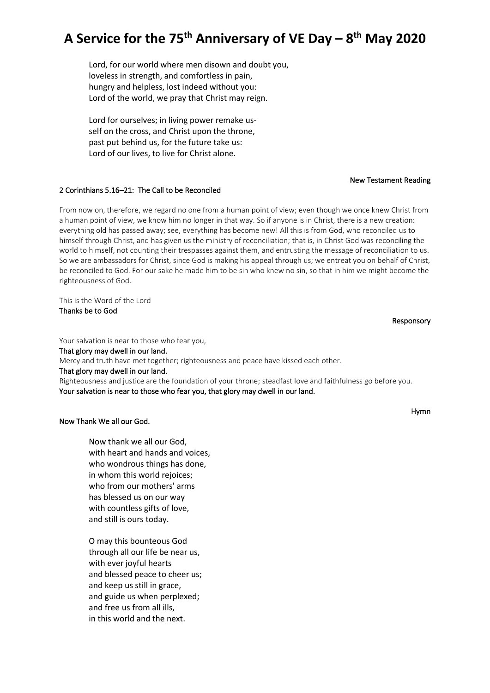Lord, for our world where men disown and doubt you, loveless in strength, and comfortless in pain, hungry and helpless, lost indeed without you: Lord of the world, we pray that Christ may reign.

Lord for ourselves; in living power remake usself on the cross, and Christ upon the throne, past put behind us, for the future take us: Lord of our lives, to live for Christ alone.

### New Testament Reading

### 2 Corinthians 5.16–21: The Call to be Reconciled

From now on, therefore, we regard no one from a human point of view; even though we once knew Christ from a human point of view, we know him no longer in that way. So if anyone is in Christ, there is a new creation: everything old has passed away; see, everything has become new! All this is from God, who reconciled us to himself through Christ, and has given us the ministry of reconciliation; that is, in Christ God was reconciling the world to himself, not counting their trespasses against them, and entrusting the message of reconciliation to us. So we are ambassadors for Christ, since God is making his appeal through us; we entreat you on behalf of Christ, be reconciled to God. For our sake he made him to be sin who knew no sin, so that in him we might become the righteousness of God.

#### This is the Word of the Lord Thanks be to God

Responsory

Your salvation is near to those who fear you, That glory may dwell in our land. Mercy and truth have met together; righteousness and peace have kissed each other. That glory may dwell in our land. Righteousness and justice are the foundation of your throne; steadfast love and faithfulness go before you. Your salvation is near to those who fear you, that glory may dwell in our land.

### Now Thank We all our God.

Now thank we all our God, with heart and hands and voices, who wondrous things has done, in whom this world rejoices: who from our mothers' arms has blessed us on our way with countless gifts of love, and still is ours today.

O may this bounteous God through all our life be near us, with ever joyful hearts and blessed peace to cheer us; and keep us still in grace, and guide us when perplexed; and free us from all ills, in this world and the next.

Hymn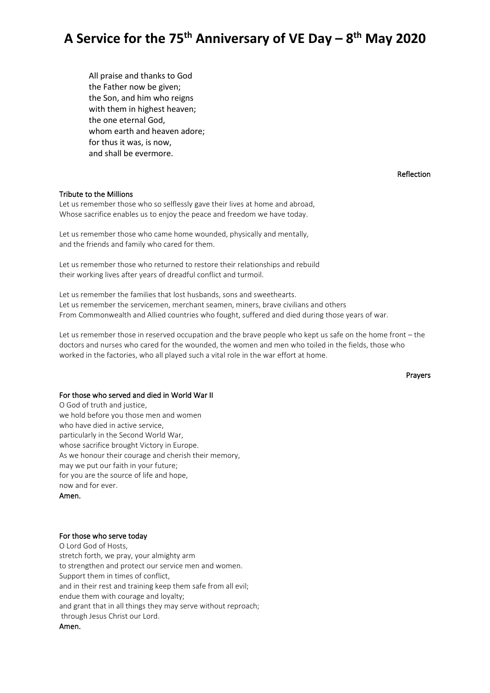All praise and thanks to God the Father now be given; the Son, and him who reigns with them in highest heaven; the one eternal God, whom earth and heaven adore; for thus it was, is now, and shall be evermore.

Reflection

### Tribute to the Millions

Let us remember those who so selflessly gave their lives at home and abroad, Whose sacrifice enables us to enjoy the peace and freedom we have today.

Let us remember those who came home wounded, physically and mentally, and the friends and family who cared for them.

Let us remember those who returned to restore their relationships and rebuild their working lives after years of dreadful conflict and turmoil.

Let us remember the families that lost husbands, sons and sweethearts. Let us remember the servicemen, merchant seamen, miners, brave civilians and others From Commonwealth and Allied countries who fought, suffered and died during those years of war.

Let us remember those in reserved occupation and the brave people who kept us safe on the home front – the doctors and nurses who cared for the wounded, the women and men who toiled in the fields, those who worked in the factories, who all played such a vital role in the war effort at home.

Prayers

#### For those who served and died in World War II

O God of truth and justice, we hold before you those men and women who have died in active service, particularly in the Second World War, whose sacrifice brought Victory in Europe. As we honour their courage and cherish their memory, may we put our faith in your future; for you are the source of life and hope, now and for ever. Amen.

### For those who serve today

O Lord God of Hosts, stretch forth, we pray, your almighty arm to strengthen and protect our service men and women. Support them in times of conflict, and in their rest and training keep them safe from all evil; endue them with courage and loyalty; and grant that in all things they may serve without reproach; through Jesus Christ our Lord. Amen.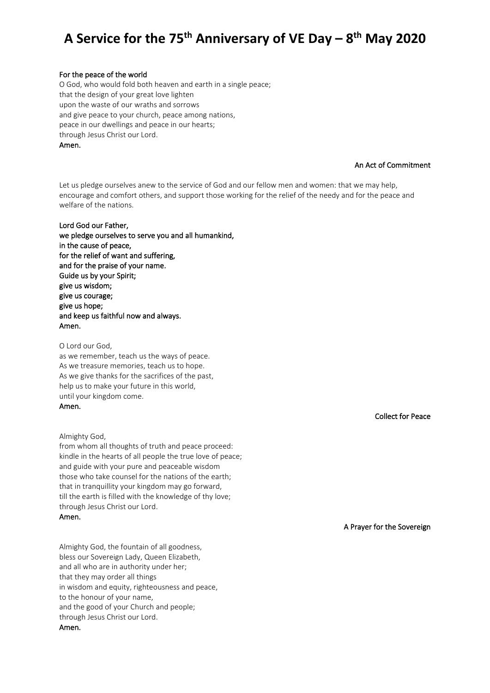### For the peace of the world

O God, who would fold both heaven and earth in a single peace; that the design of your great love lighten upon the waste of our wraths and sorrows and give peace to your church, peace among nations, peace in our dwellings and peace in our hearts; through Jesus Christ our Lord. Amen.

### An Act of Commitment

Let us pledge ourselves anew to the service of God and our fellow men and women: that we may help, encourage and comfort others, and support those working for the relief of the needy and for the peace and welfare of the nations.

Lord God our Father, we pledge ourselves to serve you and all humankind, in the cause of peace, for the relief of want and suffering, and for the praise of your name. Guide us by your Spirit; give us wisdom; give us courage; give us hope; and keep us faithful now and always. Amen.

O Lord our God,

as we remember, teach us the ways of peace. As we treasure memories, teach us to hope. As we give thanks for the sacrifices of the past, help us to make your future in this world, until your kingdom come. Amen.

#### Almighty God,

from whom all thoughts of truth and peace proceed: kindle in the hearts of all people the true love of peace; and guide with your pure and peaceable wisdom those who take counsel for the nations of the earth; that in tranquillity your kingdom may go forward, till the earth is filled with the knowledge of thy love; through Jesus Christ our Lord.

Amen.

Almighty God, the fountain of all goodness, bless our Sovereign Lady, Queen Elizabeth, and all who are in authority under her; that they may order all things in wisdom and equity, righteousness and peace, to the honour of your name, and the good of your Church and people; through Jesus Christ our Lord. Amen.

Collect for Peace

A Prayer for the Sovereign